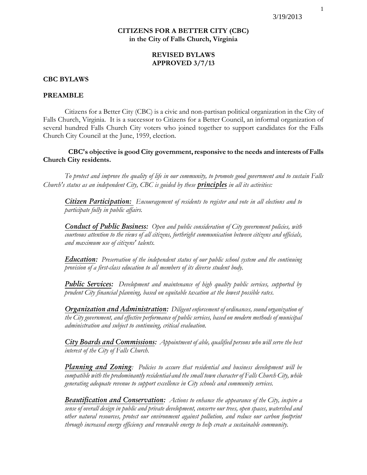# **CITIZENS FOR A BETTER CITY (CBC) in the City of Falls Church, Virginia**

# **REVISED BYLAWS APPROVED 3/7/13**

### **CBC BYLAWS**

#### **PREAMBLE**

Citizens for a Better City (CBC) is a civic and non-partisan political organization in the City of Falls Church, Virginia. It is a successor to Citizens for a Better Council, an informal organization of several hundred Falls Church City voters who joined together to support candidates for the Falls Church City Council at the June, 1959, election.

 **CBC's objective is good City government, responsive to the needs and interests of Falls Church City residents.** 

*To protect and improve the quality of life in our community, to promote good government and to sustain Falls Church's status as an independent City, CBC is guided by these principles in all its activities:*

*Citizen Participation: Encouragement of residents to register and vote in all elections and to participate fully in public affairs.*

*Conduct of Public Business: Open and public consideration of City government policies, with courteous attention to the views of all citizens, forthright communication between citizens and officials, and maximum use of citizens' talents.*

*Education: Preservation of the independent status of our public school system and the continuing provision of a first-class education to all members of its diverse student body.*

*Public Services: Development and maintenance of high quality public services, supported by prudent City financial planning, based on equitable taxation at the lowest possible rates.*

*Organization and Administration: Diligent enforcement of ordinances, sound organization of the City government, and effective performance of public services, based on modern methods of municipal administration and subject to continuing, critical evaluation.*

*City Boards and Commissions: Appointment of able, qualified persons who will serve the best interest of the City of Falls Church.*

*Planning and Zoning: Policies to assure that residential and business development will be compatible with the predominantly residential and the small town character of Falls Church City, while generating adequate revenue to support excellence in City schools and community services.*

*Beautification and Conservation: Actions to enhance the appearance of the City, inspire a sense of overall design in public and private development, conserve our trees, open spaces, watershed and other natural resources, protect our environment against pollution, and reduce our carbon footprint through increased energy efficiency and renewable energy to help create a sustainable community.*

1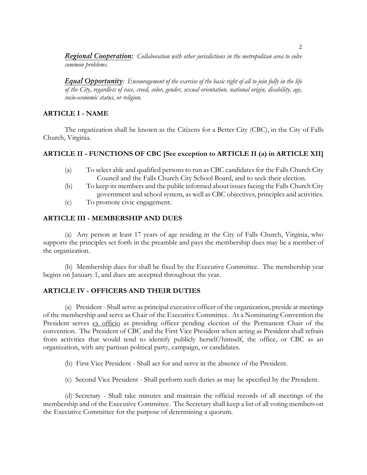*Regional Cooperation: Collaboration with other jurisdictions in the metropolitan area to solve common problems.*

*Equal Opportunity: Encouragement of the exercise of the basic right of all to join fully in the life of the City, regardless of race, creed, color, gender, sexual orientation, national origin, disability, age, socio-economic status, or religion.*

# **ARTICLE I - NAME**

The organization shall be known as the Citizens for a Better City (CBC), in the City of Falls Church, Virginia.

## **ARTICLE II - FUNCTIONS OF CBC [See exception to ARTICLE II (a) in ARTICLE XII]**

- (a) To select able and qualified persons to run as CBC candidates for the Falls Church City Council and the Falls Church City School Board, and to seek their election.
- (b) To keep its members and the public informed about issues facing the Falls Church City government and school system, as well as CBC objectives, principles and activities.
- (c) To promote civic engagement.

## **ARTICLE III - MEMBERSHIP AND DUES**

(a) Any person at least 17 years of age residing in the City of Falls Church, Virginia, who supports the principles set forth in the preamble and pays the membership dues may be a member of the organization.

(b) Membership dues for shall be fixed by the Executive Committee. The membership year begins on January 1, and dues are accepted throughout the year.

# **ARTICLE IV - OFFICERS AND THEIR DUTIES**

(a) President - Shall serve as principal executive officer of the organization, preside at meetings of the membership and serve as Chair of the Executive Committee. At a Nominating Convention the President serves ex officio as presiding officer pending election of the Permanent Chair of the convention. The President of CBC and the First Vice President when acting as President shall refrain from activities that would tend to identify publicly herself/himself, the office, or CBC as an organization, with any partisan political party, campaign, or candidates.

(b) First Vice President - Shall act for and serve in the absence of the President.

(c) Second Vice President - Shall perform such duties as may be specified by the President.

(d) Secretary - Shall take minutes and maintain the official records of all meetings of the membership and of the Executive Committee. The Secretary shall keep a list of all voting members on the Executive Committee for the purpose of determining a quorum.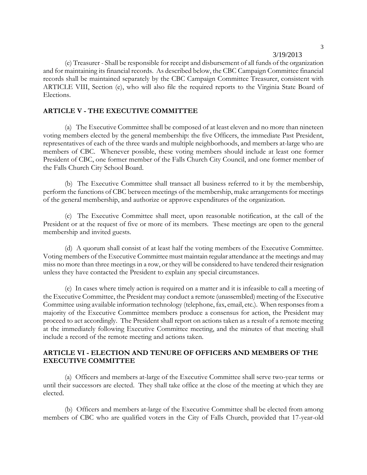(e) Treasurer - Shall be responsible for receipt and disbursement of all funds of the organization and for maintaining its financial records. As described below, the CBC Campaign Committee financial records shall be maintained separately by the CBC Campaign Committee Treasurer, consistent with ARTICLE VIII, Section (e), who will also file the required reports to the Virginia State Board of Elections.

#### **ARTICLE V - THE EXECUTIVE COMMITTEE**

(a) The Executive Committee shall be composed of at least eleven and no more than nineteen voting members elected by the general membership: the five Officers, the immediate Past President, representatives of each of the three wards and multiple neighborhoods, and members at-large who are members of CBC. Whenever possible, these voting members should include at least one former President of CBC, one former member of the Falls Church City Council, and one former member of the Falls Church City School Board.

(b) The Executive Committee shall transact all business referred to it by the membership, perform the functions of CBC between meetings of the membership, make arrangements for meetings of the general membership, and authorize or approve expenditures of the organization.

(c) The Executive Committee shall meet, upon reasonable notification, at the call of the President or at the request of five or more of its members. These meetings are open to the general membership and invited guests.

(d) A quorum shall consist of at least half the voting members of the Executive Committee. Voting members of the Executive Committee must maintain regular attendance at the meetings and may miss no more than three meetings in a row, or they will be considered to have tendered their resignation unless they have contacted the President to explain any special circumstances.

(e) In cases where timely action is required on a matter and it is infeasible to call a meeting of the Executive Committee, the President may conduct a remote (unassembled) meeting of the Executive Committee using available information technology (telephone, fax, email, etc.). When responses from a majority of the Executive Committee members produce a consensus for action, the President may proceed to act accordingly. The President shall report on actions taken as a result of a remote meeting at the immediately following Executive Committee meeting, and the minutes of that meeting shall include a record of the remote meeting and actions taken.

### **ARTICLE VI - ELECTION AND TENURE OF OFFICERS AND MEMBERS OF THE EXECUTIVE COMMITTEE**

(a) Officers and members at-large of the Executive Committee shall serve two-year terms or until their successors are elected. They shall take office at the close of the meeting at which they are elected.

(b) Officers and members at-large of the Executive Committee shall be elected from among members of CBC who are qualified voters in the City of Falls Church, provided that 17-year-old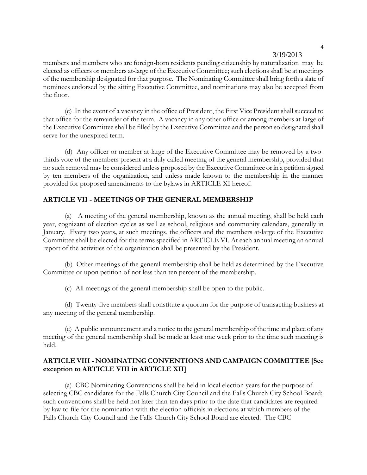members and members who are foreign-born residents pending citizenship by naturalization may be elected as officers or members at-large of the Executive Committee; such elections shall be at meetings of the membership designated for that purpose. The Nominating Committee shall bring forth a slate of nominees endorsed by the sitting Executive Committee, and nominations may also be accepted from the floor.

(c) In the event of a vacancy in the office of President, the First Vice President shall succeed to that office for the remainder of the term. A vacancy in any other office or among members at-large of the Executive Committee shall be filled by the Executive Committee and the person so designated shall serve for the unexpired term.

(d) Any officer or member at-large of the Executive Committee may be removed by a twothirds vote of the members present at a duly called meeting of the general membership, provided that no such removal may be considered unless proposed by the Executive Committee or in a petition signed by ten members of the organization, and unless made known to the membership in the manner provided for proposed amendments to the bylaws in ARTICLE XI hereof.

### **ARTICLE VII - MEETINGS OF THE GENERAL MEMBERSHIP**

(a) A meeting of the general membership, known as the annual meeting, shall be held each year, cognizant of election cycles as well as school, religious and community calendars, generally in January. Every two years**,** at such meetings, the officers and the members at-large of the Executive Committee shall be elected for the terms specified in ARTICLE VI. At each annual meeting an annual report of the activities of the organization shall be presented by the President.

(b) Other meetings of the general membership shall be held as determined by the Executive Committee or upon petition of not less than ten percent of the membership.

(c) All meetings of the general membership shall be open to the public.

(d) Twenty-five members shall constitute a quorum for the purpose of transacting business at any meeting of the general membership.

(e) A public announcement and a notice to the general membership of the time and place of any meeting of the general membership shall be made at least one week prior to the time such meeting is held.

# **ARTICLE VIII - NOMINATING CONVENTIONS AND CAMPAIGN COMMITTEE [See exception to ARTICLE VIII in ARTICLE XII]**

(a) CBC Nominating Conventions shall be held in local election years for the purpose of selecting CBC candidates for the Falls Church City Council and the Falls Church City School Board; such conventions shall be held not later than ten days prior to the date that candidates are required by law to file for the nomination with the election officials in elections at which members of the Falls Church City Council and the Falls Church City School Board are elected. The CBC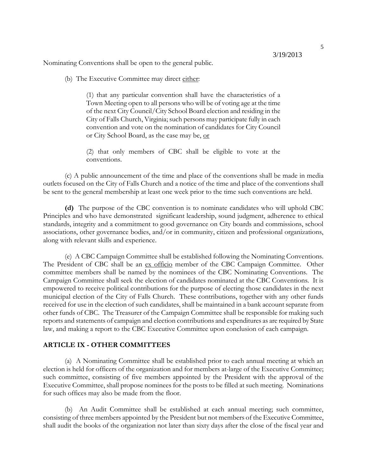Nominating Conventions shall be open to the general public.

(b) The Executive Committee may direct either:

(1) that any particular convention shall have the characteristics of a Town Meeting open to all persons who will be of voting age at the time of the next City Council/City School Board election and residing in the City of Falls Church, Virginia; such persons may participate fully in each convention and vote on the nomination of candidates for City Council or City School Board, as the case may be, or

(2) that only members of CBC shall be eligible to vote at the conventions.

(c) A public announcement of the time and place of the conventions shall be made in media outlets focused on the City of Falls Church and a notice of the time and place of the conventions shall be sent to the general membership at least one week prior to the time such conventions are held.

**(d)** The purpose of the CBC convention is to nominate candidates who will uphold CBC Principles and who have demonstrated significant leadership, sound judgment, adherence to ethical standards, integrity and a commitment to good governance on City boards and commissions, school associations, other governance bodies, and/or in community, citizen and professional organizations, along with relevant skills and experience.

(e) A CBC Campaign Committee shall be established following the Nominating Conventions. The President of CBC shall be an ex officio member of the CBC Campaign Committee. Other committee members shall be named by the nominees of the CBC Nominating Conventions. The Campaign Committee shall seek the election of candidates nominated at the CBC Conventions. It is empowered to receive political contributions for the purpose of electing those candidates in the next municipal election of the City of Falls Church. These contributions, together with any other funds received for use in the election of such candidates, shall be maintained in a bank account separate from other funds of CBC. The Treasurer of the Campaign Committee shall be responsible for making such reports and statements of campaign and election contributions and expenditures as are required by State law, and making a report to the CBC Executive Committee upon conclusion of each campaign.

#### **ARTICLE IX - OTHER COMMITTEES**

(a) A Nominating Committee shall be established prior to each annual meeting at which an election is held for officers of the organization and for members at-large of the Executive Committee; such committee, consisting of five members appointed by the President with the approval of the Executive Committee, shall propose nominees for the posts to be filled at such meeting. Nominations for such offices may also be made from the floor.

(b) An Audit Committee shall be established at each annual meeting; such committee, consisting of three members appointed by the President but not members of the Executive Committee, shall audit the books of the organization not later than sixty days after the close of the fiscal year and